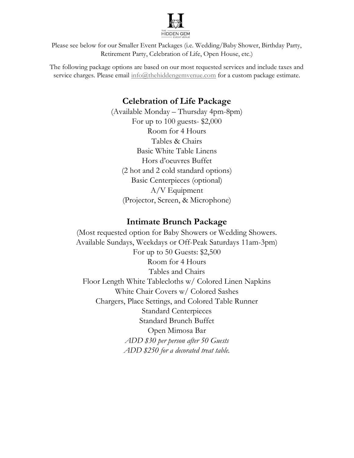

Please see below for our Smaller Event Packages (i.e. Wedding/Baby Shower, Birthday Party, Retirement Party, Celebration of Life, Open House, etc.)

The following package options are based on our most requested services and include taxes and service charges. Please email info@thehiddengemvenue.com for a custom package estimate.

## Celebration of Life Package

(Available Monday – Thursday 4pm-8pm) For up to 100 guests- \$2,000 Room for 4 Hours Tables & Chairs Basic White Table Linens Hors d'oeuvres Buffet (2 hot and 2 cold standard options) Basic Centerpieces (optional) A/V Equipment (Projector, Screen, & Microphone)

## Intimate Brunch Package

(Most requested option for Baby Showers or Wedding Showers. Available Sundays, Weekdays or Off-Peak Saturdays 11am-3pm) For up to 50 Guests: \$2,500 Room for 4 Hours Tables and Chairs Floor Length White Tablecloths w/ Colored Linen Napkins White Chair Covers w/ Colored Sashes Chargers, Place Settings, and Colored Table Runner Standard Centerpieces Standard Brunch Buffet Open Mimosa Bar ADD \$30 per person after 50 Guests ADD \$250 for a decorated treat table.